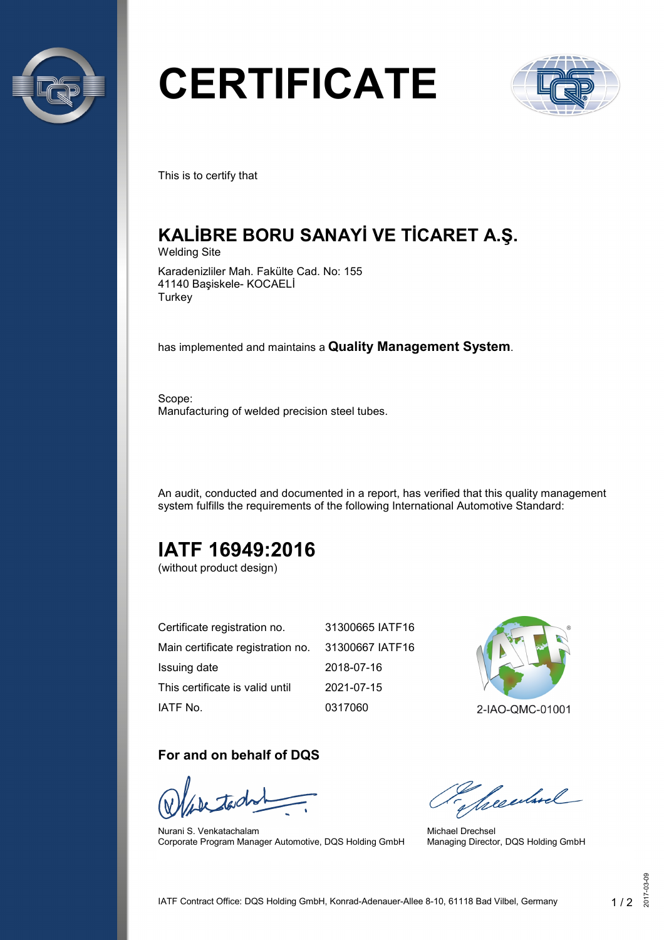

# **CERTIFICATE**



This is to certify that

## **KALİBRE BORU SANAYİ VE TİCARET A.Ş.**

Welding Site

Karadenizliler Mah. Fakülte Cad. No: 155 41140 Başiskele- KOCAELİ **Turkey** 

has implemented and maintains a **Quality Management System**.

Scope: Manufacturing of welded precision steel tubes.

An audit, conducted and documented in a report, has verified that this quality management system fulfills the requirements of the following International Automotive Standard:

## **IATF 16949:2016**

(without product design)

| Certificate registration no.      | 31300665 IATF16 |
|-----------------------------------|-----------------|
| Main certificate registration no. | 31300667 IATF16 |
| Issuing date                      | 2018-07-16      |
| This certificate is valid until   | 2021-07-15      |
| IATF No.                          | 0317060         |



#### **For and on behalf of DQS**

Nurani S. Venkatachalam Corporate Program Manager Automotive, DQS Holding GmbH

Seculard

Michael Drechsel Managing Director, DQS Holding GmbH

2017-03-09